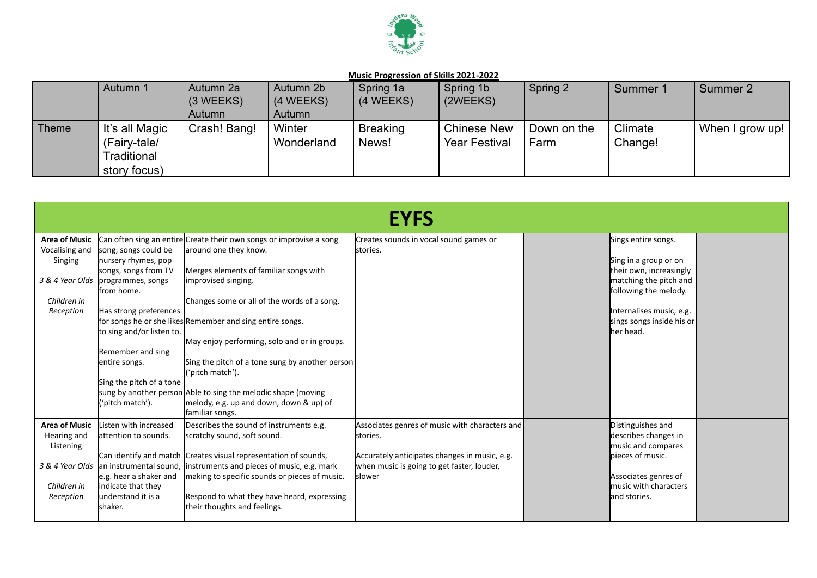

|       | Autumn 1                                                      | Autumn 2a<br>$(3 \, \text{WEEKS})$<br>Autumn | Autumn 2b<br>(4 WEEKS)<br>Autumn | Spring 1a<br>(4 WEEKS)   | Spring 1b<br>(2WEEKS)                      | Spring 2            | Summer 1           | Summer 2        |
|-------|---------------------------------------------------------------|----------------------------------------------|----------------------------------|--------------------------|--------------------------------------------|---------------------|--------------------|-----------------|
| Theme | It's all Magic<br>(Fairy-tale/<br>Traditional<br>story focus) | Crash! Bang!                                 | Winter<br>Wonderland             | <b>Breaking</b><br>News! | <b>Chinese New</b><br><b>Year Festival</b> | Down on the<br>Farm | Climate<br>Change! | When I grow up! |

|                                                                               |                                                                                                                                                                                                                                                                      |                                                                                                                                                                                                                                                                                                                                                                                                                                                                                                                                  | <b>EYFS</b>                                                                                                                                                         |                                                                                                                                                                                                   |  |
|-------------------------------------------------------------------------------|----------------------------------------------------------------------------------------------------------------------------------------------------------------------------------------------------------------------------------------------------------------------|----------------------------------------------------------------------------------------------------------------------------------------------------------------------------------------------------------------------------------------------------------------------------------------------------------------------------------------------------------------------------------------------------------------------------------------------------------------------------------------------------------------------------------|---------------------------------------------------------------------------------------------------------------------------------------------------------------------|---------------------------------------------------------------------------------------------------------------------------------------------------------------------------------------------------|--|
| <b>Area of Music</b><br>Vocalising and<br>Singing<br>Children in<br>Reception | song; songs could be<br>nursery rhymes, pop<br>songs, songs from TV<br>3 & 4 Year Olds programmes, songs<br>lfrom home.<br>Has strong preferences<br>to sing and/or listen to.<br>Remember and sing<br>entire songs.<br>Sing the pitch of a tone<br>('pitch match'). | Can often sing an entire Create their own songs or improvise a song<br>around one they know.<br>Merges elements of familiar songs with<br>limprovised singing.<br>Changes some or all of the words of a song.<br>for songs he or she likes Remember and sing entire songs.<br>May enjoy performing, solo and or in groups.<br>Sing the pitch of a tone sung by another person<br>('pitch match').<br>sung by another person Able to sing the melodic shape (moving<br>melody, e.g. up and down, down & up) of<br>familiar songs. | Creates sounds in vocal sound games or<br>stories.                                                                                                                  | Sings entire songs.<br>Sing in a group or on<br>their own, increasingly<br>matching the pitch and<br>following the melody.<br>Internalises music, e.g.<br>sings songs inside his or<br>lher head. |  |
| <b>Area of Music</b><br>Hearing and<br>Listening<br>Children in<br>Reception  | Listen with increased<br>lattention to sounds.<br>e.g. hear a shaker and<br>indicate that they<br>understand it is a<br>lshaker.                                                                                                                                     | Describes the sound of instruments e.g.<br>scratchy sound, soft sound.<br>Can identify and match Creates visual representation of sounds,<br>3 & 4 Year Olds an instrumental sound, instruments and pieces of music, e.g. mark<br>making to specific sounds or pieces of music.<br>Respond to what they have heard, expressing<br>their thoughts and feelings.                                                                                                                                                                   | Associates genres of music with characters and<br>stories.<br>Accurately anticipates changes in music, e.g.<br>when music is going to get faster, louder,<br>slower | Distinguishes and<br>describes changes in<br>music and compares<br>lpieces of music.<br>Associates genres of<br>music with characters<br>land stories.                                            |  |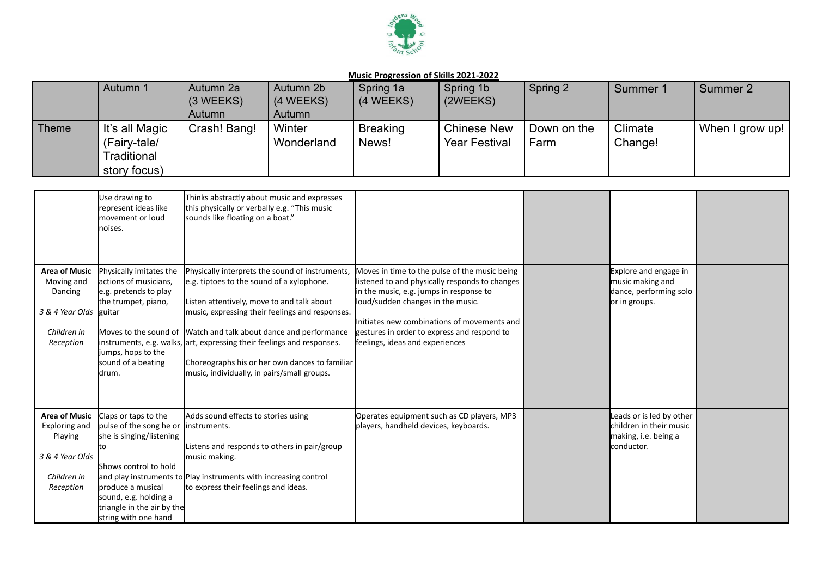

|              | Autumn 1                       | Autumn 2a<br>$(3 \, \text{WEEKS})$ | Autumn 2b<br>(4 WEEKS) | Spring 1a<br>(4 WEEKS)   | Spring 1b<br>(2WEEKS)                      | Spring 2            | Summer 1           | Summer 2        |
|--------------|--------------------------------|------------------------------------|------------------------|--------------------------|--------------------------------------------|---------------------|--------------------|-----------------|
|              |                                | Autumn                             | Autumn                 |                          |                                            |                     |                    |                 |
| <b>Theme</b> | It's all Magic<br>(Fairy-tale/ | Crash! Bang!                       | Winter<br>Wonderland   | <b>Breaking</b><br>News! | <b>Chinese New</b><br><b>Year Festival</b> | Down on the<br>Farm | Climate<br>Change! | When I grow up! |
|              | Traditional<br>story focus)    |                                    |                        |                          |                                            |                     |                    |                 |

|                                                                                                 | Use drawing to<br>represent ideas like<br><b>I</b> movement or loud<br>noises.                                                                                                                                  | Thinks abstractly about music and expresses<br>this physically or verbally e.g. "This music<br>sounds like floating on a boat."                                                                                                                                                                                                                                                                                                              |                                                                                                                                                                                                                                                                                                                  |                                                                                           |  |
|-------------------------------------------------------------------------------------------------|-----------------------------------------------------------------------------------------------------------------------------------------------------------------------------------------------------------------|----------------------------------------------------------------------------------------------------------------------------------------------------------------------------------------------------------------------------------------------------------------------------------------------------------------------------------------------------------------------------------------------------------------------------------------------|------------------------------------------------------------------------------------------------------------------------------------------------------------------------------------------------------------------------------------------------------------------------------------------------------------------|-------------------------------------------------------------------------------------------|--|
| <b>Area of Music</b><br>Moving and<br>Dancing<br>3 & 4 Year Olds<br>Children in<br>Reception    | Physically imitates the<br>actions of musicians,<br>e.g. pretends to play<br>the trumpet, piano,<br>guitar<br>jumps, hops to the<br>sound of a beating<br>ldrum.                                                | Physically interprets the sound of instruments,<br>e.g. tiptoes to the sound of a xylophone.<br>Listen attentively, move to and talk about<br>music, expressing their feelings and responses.<br>Moves to the sound of Watch and talk about dance and performance<br>instruments, e.g. walks, art, expressing their feelings and responses.<br>Choreographs his or her own dances to familiar<br>music, individually, in pairs/small groups. | Moves in time to the pulse of the music being<br>listened to and physically responds to changes<br>in the music, e.g. jumps in response to<br>loud/sudden changes in the music.<br>Initiates new combinations of movements and<br>gestures in order to express and respond to<br>feelings, ideas and experiences | Explore and engage in<br>music making and<br>dance, performing solo<br>or in groups.      |  |
| <b>Area of Music</b><br>Exploring and<br>Playing<br>3 & 4 Year Olds<br>Children in<br>Reception | Claps or taps to the<br>pulse of the song he or<br>she is singing/listening<br>Ιtο<br>Shows control to hold<br>produce a musical<br>sound, e.g. holding a<br>triangle in the air by the<br>string with one hand | Adds sound effects to stories using<br>linstruments.<br>Listens and responds to others in pair/group<br>music making.<br>and play instruments to Play instruments with increasing control<br>to express their feelings and ideas.                                                                                                                                                                                                            | Operates equipment such as CD players, MP3<br>players, handheld devices, keyboards.                                                                                                                                                                                                                              | Leads or is led by other<br>children in their music<br>making, i.e. being a<br>conductor. |  |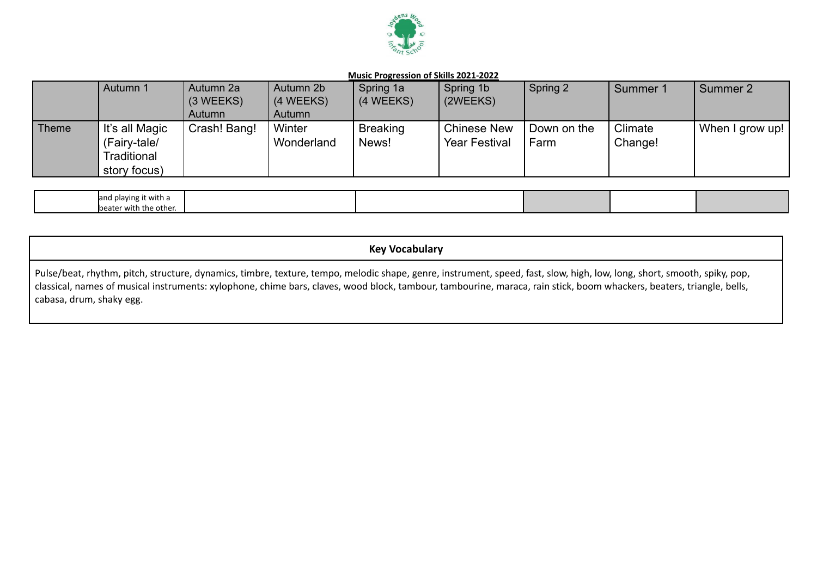

|              | Autumn 1                                                      | Autumn 2a<br>$(3 \, \text{WEEKS})$<br>Autumn | Autumn 2b<br>(4 WEEKS)<br>Autumn | Spring 1a<br>(4 WEEKS)   | Spring 1b<br>(2WEEKS)                      | Spring 2            | Summer 1           | Summer 2        |
|--------------|---------------------------------------------------------------|----------------------------------------------|----------------------------------|--------------------------|--------------------------------------------|---------------------|--------------------|-----------------|
| <b>Theme</b> | It's all Magic<br>(Fairy-tale/<br>Traditional<br>story focus) | Crash! Bang!                                 | Winter<br>Wonderland             | <b>Breaking</b><br>News! | <b>Chinese New</b><br><b>Year Festival</b> | Down on the<br>Farm | Climate<br>Change! | When I grow up! |

| land playing it with a |  |  |  |
|------------------------|--|--|--|
| beater with the other. |  |  |  |

# **Key Vocabulary**

Pulse/beat, rhythm, pitch, structure, dynamics, timbre, texture, tempo, melodic shape, genre, instrument, speed, fast, slow, high, low, long, short, smooth, spiky, pop, classical, names of musical instruments: xylophone, chime bars, claves, wood block, tambour, tambourine, maraca, rain stick, boom whackers, beaters, triangle, bells, cabasa, drum, shaky egg.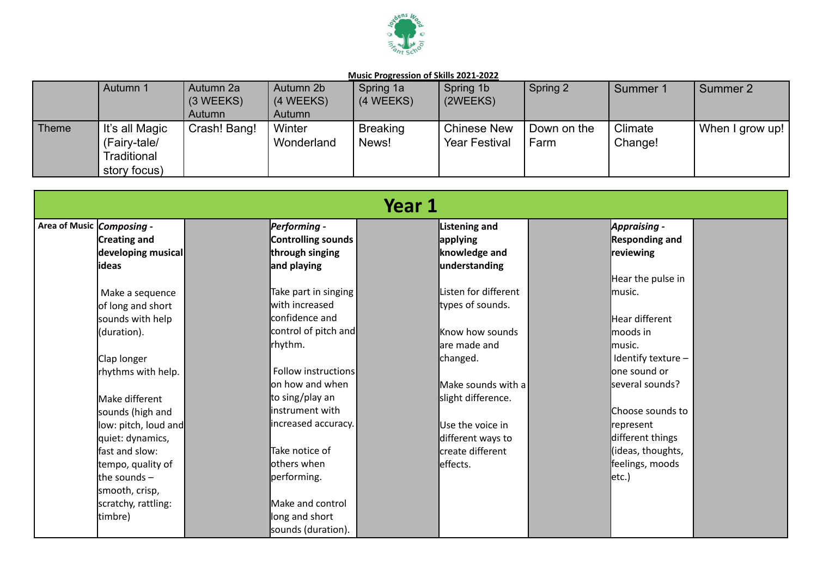

|       | Autumn 1                                                      | Autumn 2a<br>$(3 \, \text{WEEKS})$<br>Autumn | Autumn 2b<br>(4 WEEKS)<br>Autumn | Spring 1a<br>(4 WEEKS)   | Spring 1b<br>(2WEEKS)                      | Spring 2            | Summer 1           | Summer 2          |
|-------|---------------------------------------------------------------|----------------------------------------------|----------------------------------|--------------------------|--------------------------------------------|---------------------|--------------------|-------------------|
| Theme | It's all Magic<br>(Fairy-tale/<br>Traditional<br>story focus) | Crash! Bang!                                 | Winter<br>Wonderland             | <b>Breaking</b><br>News! | <b>Chinese New</b><br><b>Year Festival</b> | Down on the<br>Farm | Climate<br>Change! | I When I grow up! |

|                                  |                      |                                | Year 1 |                            |                       |  |
|----------------------------------|----------------------|--------------------------------|--------|----------------------------|-----------------------|--|
| Area of Music <i>Composing -</i> |                      | Performing -                   |        | Listening and              | Appraising -          |  |
|                                  | Creating and         | Controlling sounds             |        | applying                   | <b>Responding and</b> |  |
|                                  | developing musical   | through singing                |        | knowledge and              | reviewing             |  |
|                                  | <b>lideas</b>        | and playing                    |        | understanding              |                       |  |
|                                  |                      |                                |        |                            | Hear the pulse in     |  |
|                                  | Make a sequence      | Take part in singing           |        | Listen for different       | Imusic.               |  |
|                                  | of long and short    | with increased                 |        | types of sounds.           |                       |  |
|                                  | sounds with help     | <b>l</b> confidence and        |        |                            | Hear different        |  |
|                                  | (duration).          | control of pitch and           |        | Know how sounds            | moods in              |  |
|                                  |                      | rhythm.                        |        | lare made and              | music.                |  |
|                                  | Clap longer          |                                |        | changed.                   | Identify texture -    |  |
|                                  | rhythms with help.   | <b>Follow instructions</b>     |        |                            | <b>l</b> one sound or |  |
|                                  |                      | on how and when                |        | $M$ ake sounds with a $\P$ | several sounds?       |  |
|                                  | Make different       | to sing/play an                |        | slight difference.         |                       |  |
|                                  | sounds (high and     | linstrument with               |        |                            | Choose sounds to      |  |
|                                  | low: pitch, loud and | increased accuracy.            |        | Use the voice in           | represent             |  |
|                                  | quiet: dynamics,     |                                |        | different ways to          | different things      |  |
|                                  | fast and slow:       | $\overline{\pi}$ ake notice of |        | create different           | (ideas, thoughts,     |  |
|                                  | tempo, quality of    | others when                    |        | effects.                   | feelings, moods       |  |
|                                  | the sounds -         | performing.                    |        |                            | etc.)                 |  |
|                                  | smooth, crisp,       |                                |        |                            |                       |  |
|                                  | scratchy, rattling:  | Make and control               |        |                            |                       |  |
|                                  | timbre)              | long and short                 |        |                            |                       |  |
|                                  |                      | sounds (duration).             |        |                            |                       |  |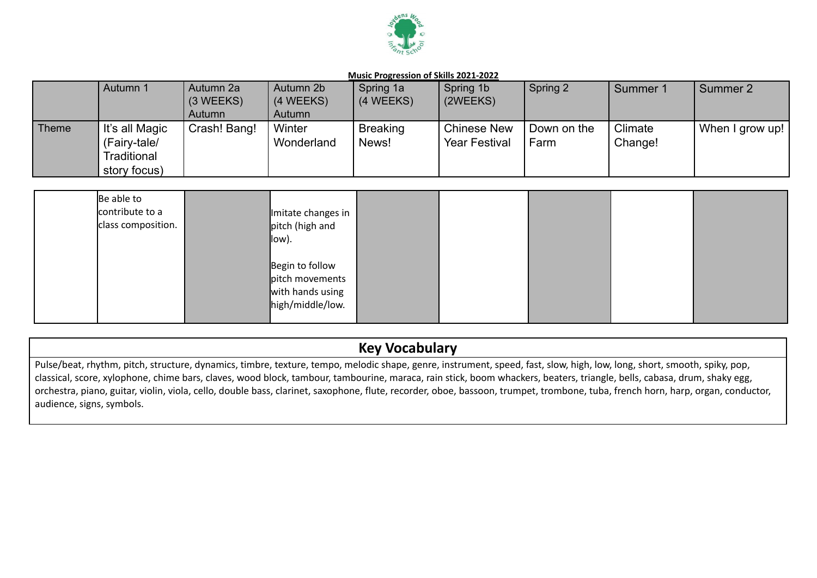

|       | Autumn 1       | Autumn 2a             | Autumn 2b  | Spring 1a       | Spring 1b            | Spring 2    | Summer 1 | Summer 2            |
|-------|----------------|-----------------------|------------|-----------------|----------------------|-------------|----------|---------------------|
|       |                | $(3 \, \text{WEEKS})$ | (4 WEEKS)  | (4 WEEKS)       | (2WEEKS)             |             |          |                     |
|       |                | Autumn                | Autumn     |                 |                      |             |          |                     |
| Theme | It's all Magic | Crash! Bang!          | Winter     | <b>Breaking</b> | <b>Chinese New</b>   | Down on the | Climate  | I When I grow up! ' |
|       | (Fairy-tale/   |                       | Wonderland | News!           | <b>Year Festival</b> | Farm        | Change!  |                     |
|       | Traditional    |                       |            |                 |                      |             |          |                     |
|       | story focus)   |                       |            |                 |                      |             |          |                     |

| Be able to<br>contribute to a<br>class composition. | Imitate changes in<br>pitch (high and<br>llow).                            |  |  |  |
|-----------------------------------------------------|----------------------------------------------------------------------------|--|--|--|
|                                                     | Begin to follow<br>pitch movements<br>with hands using<br>high/middle/low. |  |  |  |

# **Key Vocabulary**

Pulse/beat, rhythm, pitch, structure, dynamics, timbre, texture, tempo, melodic shape, genre, instrument, speed, fast, slow, high, low, long, short, smooth, spiky, pop, classical, score, xylophone, chime bars, claves, wood block, tambour, tambourine, maraca, rain stick, boom whackers, beaters, triangle, bells, cabasa, drum, shaky egg, orchestra, piano, guitar, violin, viola, cello, double bass, clarinet, saxophone, flute, recorder, oboe, bassoon, trumpet, trombone, tuba, french horn, harp, organ, conductor, audience, signs, symbols.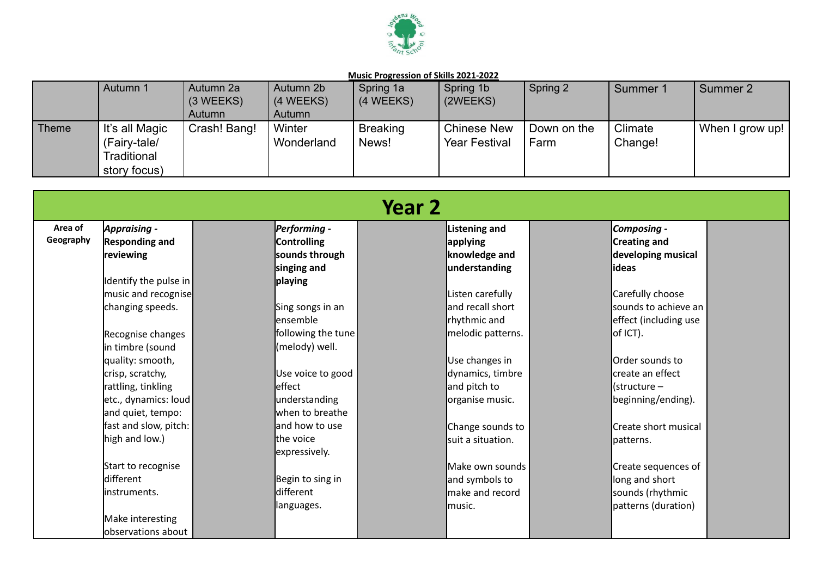

|       | Autumn 1                                                      | Autumn 2a<br>$(3 \, \text{WEEKS})$<br>Autumn | Autumn 2b<br>(4 WEEKS)<br>Autumn | Spring 1a<br>(4 WEEKS)   | Spring 1b<br>(2WEEKS)                      | Spring 2            | Summer 1           | Summer 2          |
|-------|---------------------------------------------------------------|----------------------------------------------|----------------------------------|--------------------------|--------------------------------------------|---------------------|--------------------|-------------------|
| Theme | It's all Magic<br>(Fairy-tale/<br>Traditional<br>story focus) | Crash! Bang!                                 | Winter<br>Wonderland             | <b>Breaking</b><br>News! | <b>Chinese New</b><br><b>Year Festival</b> | Down on the<br>Farm | Climate<br>Change! | I When I grow up! |

|           |                       |                            | Year 2 |                      |                          |  |
|-----------|-----------------------|----------------------------|--------|----------------------|--------------------------|--|
| Area of   | <b>Appraising -</b>   | Performing -               |        | <b>Listening and</b> | Composing -              |  |
| Geography | <b>Responding and</b> | <b>Controlling</b>         |        | applying             | <b>Creating and</b>      |  |
|           | reviewing             | sounds through             |        | knowledge and        | developing musical       |  |
|           |                       | singing and                |        | understanding        | lideas                   |  |
|           | Identify the pulse in | playing                    |        |                      |                          |  |
|           | music and recognise   |                            |        | Listen carefully     | Carefully choose         |  |
|           | changing speeds.      | Sing songs in an           |        | and recall short     | sounds to achieve an l   |  |
|           |                       | lensemble                  |        | rhythmic and         | effect (including use    |  |
|           | Recognise changes     | following the tune         |        | melodic patterns.    | of ICT).                 |  |
|           | in timbre (sound      | (melody) well.             |        |                      |                          |  |
|           | quality: smooth,      |                            |        | Use changes in       | <b>l</b> Order sounds to |  |
|           | crisp, scratchy,      | Use voice to good          |        | dynamics, timbre     | lcreate an effect        |  |
|           | rattling, tinkling    | leffect                    |        | and pitch to         | (structure –             |  |
|           | letc., dynamics: loud | understanding              |        | organise music.      | beginning/ending).       |  |
|           | and quiet, tempo:     | when to breathe            |        |                      |                          |  |
|           | fast and slow, pitch: | and how to use             |        | Change sounds to     | Create short musical     |  |
|           | high and low.)        | the voice<br>expressively. |        | suit a situation.    | lpatterns.               |  |
|           | Start to recognise    |                            |        | Make own sounds      | Create sequences of      |  |
|           | different             | Begin to sing in           |        | and symbols to       | long and short           |  |
|           | linstruments.         | different                  |        | make and record      | sounds (rhythmic         |  |
|           |                       | languages.                 |        | lmusic.              | patterns (duration)      |  |
|           | Make interesting      |                            |        |                      |                          |  |
|           | observations about    |                            |        |                      |                          |  |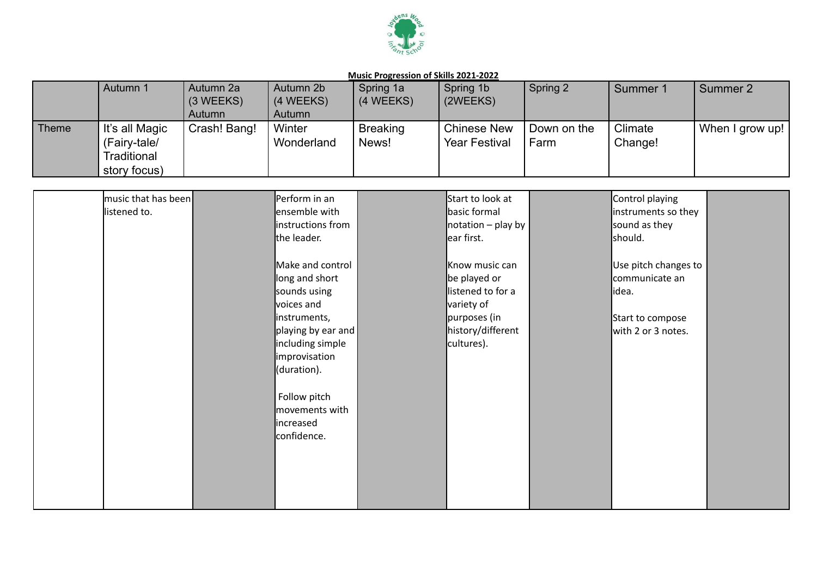

|       | Autumn 1       | Autumn 2a<br>$(3 \, \text{WEEKS})$ | Autumn 2b<br>(4 WEEKS) | Spring 1a<br>(4 WEEKS) | Spring 1b<br>(2WEEKS) | Spring 2    | Summer 1 | Summer 2        |
|-------|----------------|------------------------------------|------------------------|------------------------|-----------------------|-------------|----------|-----------------|
|       |                | Autumn                             | Autumn                 |                        |                       |             |          |                 |
| Theme | It's all Magic | Crash! Bang!                       | Winter                 | <b>Breaking</b>        | <b>Chinese New</b>    | Down on the | Climate  | When I grow up! |
|       | (Fairy-tale/   |                                    | Wonderland             | News!                  | <b>Year Festival</b>  | Farm        | Change!  |                 |
|       | Traditional    |                                    |                        |                        |                       |             |          |                 |
|       | story focus)   |                                    |                        |                        |                       |             |          |                 |

| music that has been | Perform in an                  | Start to look at                                             | Control playing      |  |
|---------------------|--------------------------------|--------------------------------------------------------------|----------------------|--|
| listened to.        | ensemble with                  | basic formal                                                 | instruments so they  |  |
|                     | instructions from              | $\sqrt{\frac{1}{1}}$ notation – play by $\sqrt{\frac{1}{1}}$ | sound as they        |  |
|                     | the leader.                    | ear first.                                                   | should.              |  |
|                     |                                |                                                              |                      |  |
|                     | Make and control               | Know music can                                               | Use pitch changes to |  |
|                     | long and short                 | be played or                                                 | communicate an       |  |
|                     | sounds using                   | listened to for a                                            | lidea.               |  |
|                     | voices and                     | variety of                                                   |                      |  |
|                     | instruments,                   | purposes (in                                                 | Start to compose     |  |
|                     | playing by ear and             | history/different                                            | with 2 or 3 notes.   |  |
|                     | including simple               | cultures).                                                   |                      |  |
|                     | improvisation                  |                                                              |                      |  |
|                     | (duration).                    |                                                              |                      |  |
|                     |                                |                                                              |                      |  |
|                     | Follow pitch<br>movements with |                                                              |                      |  |
|                     | lincreased                     |                                                              |                      |  |
|                     | confidence.                    |                                                              |                      |  |
|                     |                                |                                                              |                      |  |
|                     |                                |                                                              |                      |  |
|                     |                                |                                                              |                      |  |
|                     |                                |                                                              |                      |  |
|                     |                                |                                                              |                      |  |